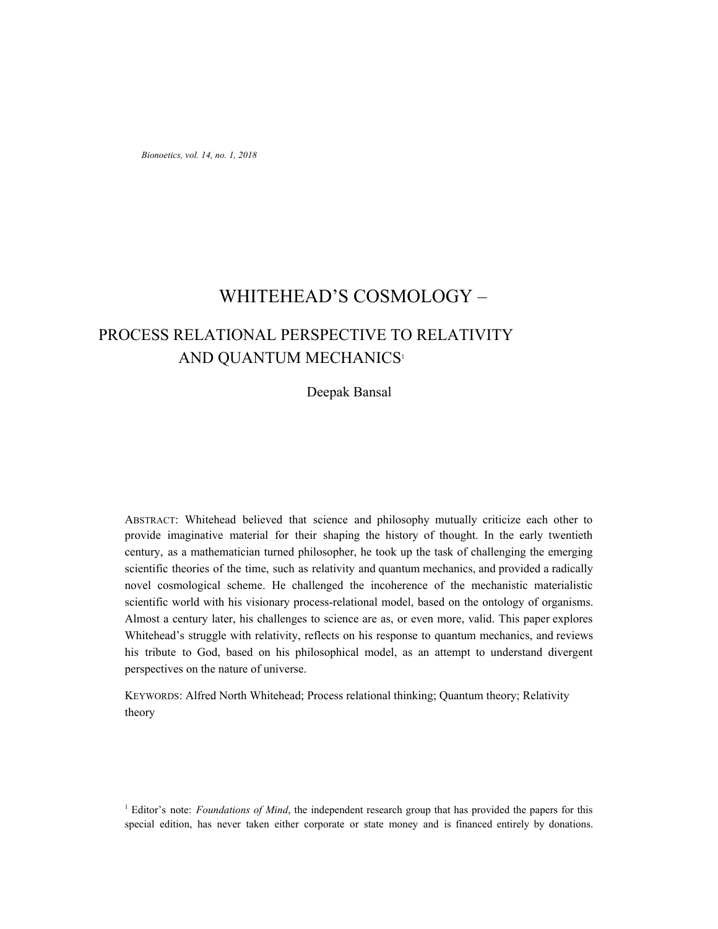*Bionoetics, vol. 14, no. 1, 2018*

# WHITEHEAD'S COSMOLOGY –

# PROCESS RELATIONAL PERSPECTIVE TO RELATIVITY AND QUANTUM MECHANICS<sup>1</sup>

Deepak Bansal

ABSTRACT: Whitehead believed that science and philosophy mutually criticize each other to provide imaginative material for their shaping the history of thought. In the early twentieth century, as a mathematician turned philosopher, he took up the task of challenging the emerging scientific theories of the time, such as relativity and quantum mechanics, and provided a radically novel cosmological scheme. He challenged the incoherence of the mechanistic materialistic scientific world with his visionary process-relational model, based on the ontology of organisms. Almost a century later, his challenges to science are as, or even more, valid. This paper explores Whitehead's struggle with relativity, reflects on his response to quantum mechanics, and reviews his tribute to God, based on his philosophical model, as an attempt to understand divergent perspectives on the nature of universe.

KEYWORDS: Alfred North Whitehead; Process relational thinking; Quantum theory; Relativity theory

<sup>1</sup> Editor's note: *Foundations of Mind*, the independent research group that has provided the papers for this special edition, has never taken either corporate or state money and is financed entirely by donations.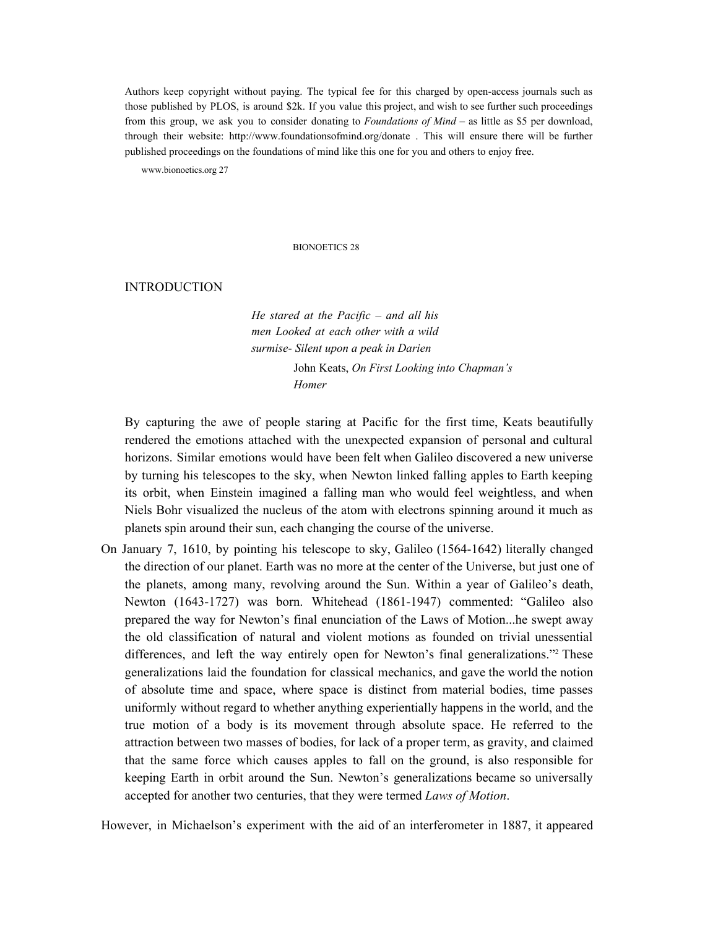Authors keep copyright without paying. The typical fee for this charged by open-access journals such as those published by PLOS, is around \$2k. If you value this project, and wish to see further such proceedings from this group, we ask you to consider donating to *Foundations of Mind* – as little as \$5 per download, through their website: http://www.foundationsofmind.org/donate . This will ensure there will be further published proceedings on the foundations of mind like this one for you and others to enjoy free.

www.bionoetics.org 27

#### BIONOETICS 28

## INTRODUCTION

*He stared at the Pacific – and all his men Looked at each other with a wild surmise- Silent upon a peak in Darien* John Keats, *On First Looking into Chapman's Homer*

By capturing the awe of people staring at Pacific for the first time, Keats beautifully rendered the emotions attached with the unexpected expansion of personal and cultural horizons. Similar emotions would have been felt when Galileo discovered a new universe by turning his telescopes to the sky, when Newton linked falling apples to Earth keeping its orbit, when Einstein imagined a falling man who would feel weightless, and when Niels Bohr visualized the nucleus of the atom with electrons spinning around it much as planets spin around their sun, each changing the course of the universe.

On January 7, 1610, by pointing his telescope to sky, Galileo (1564-1642) literally changed the direction of our planet. Earth was no more at the center of the Universe, but just one of the planets, among many, revolving around the Sun. Within a year of Galileo's death, Newton (1643-1727) was born. Whitehead (1861-1947) commented: "Galileo also prepared the way for Newton's final enunciation of the Laws of Motion...he swept away the old classification of natural and violent motions as founded on trivial unessential differences, and left the way entirely open for Newton's final generalizations."<sup>2</sup> These generalizations laid the foundation for classical mechanics, and gave the world the notion of absolute time and space, where space is distinct from material bodies, time passes uniformly without regard to whether anything experientially happens in the world, and the true motion of a body is its movement through absolute space. He referred to the attraction between two masses of bodies, for lack of a proper term, as gravity, and claimed that the same force which causes apples to fall on the ground, is also responsible for keeping Earth in orbit around the Sun. Newton's generalizations became so universally accepted for another two centuries, that they were termed *Laws of Motion*.

However, in Michaelson's experiment with the aid of an interferometer in 1887, it appeared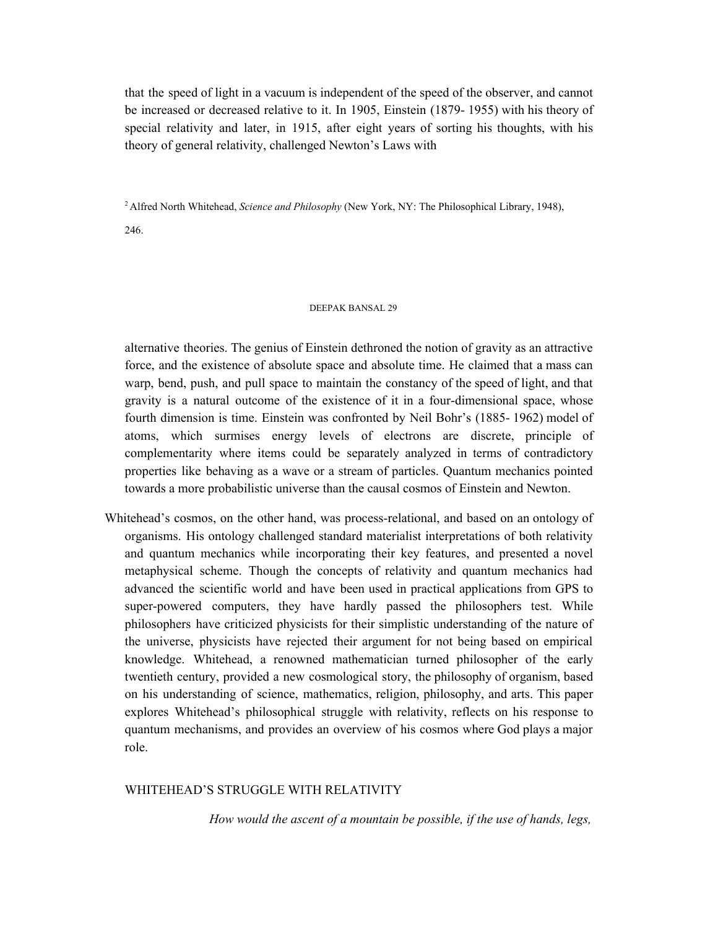that the speed of light in a vacuum is independent of the speed of the observer, and cannot be increased or decreased relative to it. In 1905, Einstein (1879- 1955) with his theory of special relativity and later, in 1915, after eight years of sorting his thoughts, with his theory of general relativity, challenged Newton's Laws with

<sup>2</sup> Alfred North Whitehead, *Science and Philosophy* (New York, NY: The Philosophical Library, 1948),

246.

### DEEPAK BANSAL 29

alternative theories. The genius of Einstein dethroned the notion of gravity as an attractive force, and the existence of absolute space and absolute time. He claimed that a mass can warp, bend, push, and pull space to maintain the constancy of the speed of light, and that gravity is a natural outcome of the existence of it in a four-dimensional space, whose fourth dimension is time. Einstein was confronted by Neil Bohr's (1885- 1962) model of atoms, which surmises energy levels of electrons are discrete, principle of complementarity where items could be separately analyzed in terms of contradictory properties like behaving as a wave or a stream of particles. Quantum mechanics pointed towards a more probabilistic universe than the causal cosmos of Einstein and Newton.

Whitehead's cosmos, on the other hand, was process-relational, and based on an ontology of organisms. His ontology challenged standard materialist interpretations of both relativity and quantum mechanics while incorporating their key features, and presented a novel metaphysical scheme. Though the concepts of relativity and quantum mechanics had advanced the scientific world and have been used in practical applications from GPS to super-powered computers, they have hardly passed the philosophers test. While philosophers have criticized physicists for their simplistic understanding of the nature of the universe, physicists have rejected their argument for not being based on empirical knowledge. Whitehead, a renowned mathematician turned philosopher of the early twentieth century, provided a new cosmological story, the philosophy of organism, based on his understanding of science, mathematics, religion, philosophy, and arts. This paper explores Whitehead's philosophical struggle with relativity, reflects on his response to quantum mechanisms, and provides an overview of his cosmos where God plays a major role.

# WHITEHEAD'S STRUGGLE WITH RELATIVITY

*How would the ascent of a mountain be possible, if the use of hands, legs,*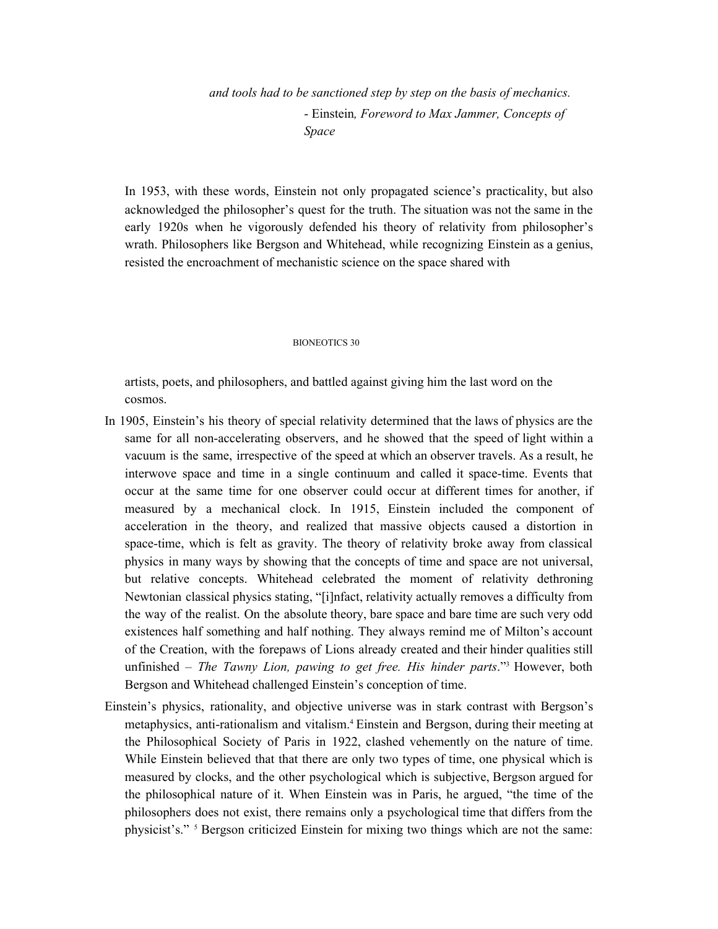*and tools had to be sanctioned step by step on the basis of mechanics.* - Einstein*, Foreword to Max Jammer, Concepts of Space*

In 1953, with these words, Einstein not only propagated science's practicality, but also acknowledged the philosopher's quest for the truth. The situation was not the same in the early 1920s when he vigorously defended his theory of relativity from philosopher's wrath. Philosophers like Bergson and Whitehead, while recognizing Einstein as a genius, resisted the encroachment of mechanistic science on the space shared with

#### BIONEOTICS 30

artists, poets, and philosophers, and battled against giving him the last word on the cosmos.

- In 1905, Einstein's his theory of special relativity determined that the laws of physics are the same for all non-accelerating observers, and he showed that the speed of light within a vacuum is the same, irrespective of the speed at which an observer travels. As a result, he interwove space and time in a single continuum and called it space-time. Events that occur at the same time for one observer could occur at different times for another, if measured by a mechanical clock. In 1915, Einstein included the component of acceleration in the theory, and realized that massive objects caused a distortion in space-time, which is felt as gravity. The theory of relativity broke away from classical physics in many ways by showing that the concepts of time and space are not universal, but relative concepts. Whitehead celebrated the moment of relativity dethroning Newtonian classical physics stating, "[i]nfact, relativity actually removes a difficulty from the way of the realist. On the absolute theory, bare space and bare time are such very odd existences half something and half nothing. They always remind me of Milton's account of the Creation, with the forepaws of Lions already created and their hinder qualities still unfinished – *The Tawny Lion, pawing to get free. His hinder parts*." <sup>3</sup> However, both Bergson and Whitehead challenged Einstein's conception of time.
- Einstein's physics, rationality, and objective universe was in stark contrast with Bergson's metaphysics, anti-rationalism and vitalism. <sup>4</sup> Einstein and Bergson, during their meeting at the Philosophical Society of Paris in 1922, clashed vehemently on the nature of time. While Einstein believed that that there are only two types of time, one physical which is measured by clocks, and the other psychological which is subjective, Bergson argued for the philosophical nature of it. When Einstein was in Paris, he argued, "the time of the philosophers does not exist, there remains only a psychological time that differs from the physicist's." <sup>5</sup> Bergson criticized Einstein for mixing two things which are not the same: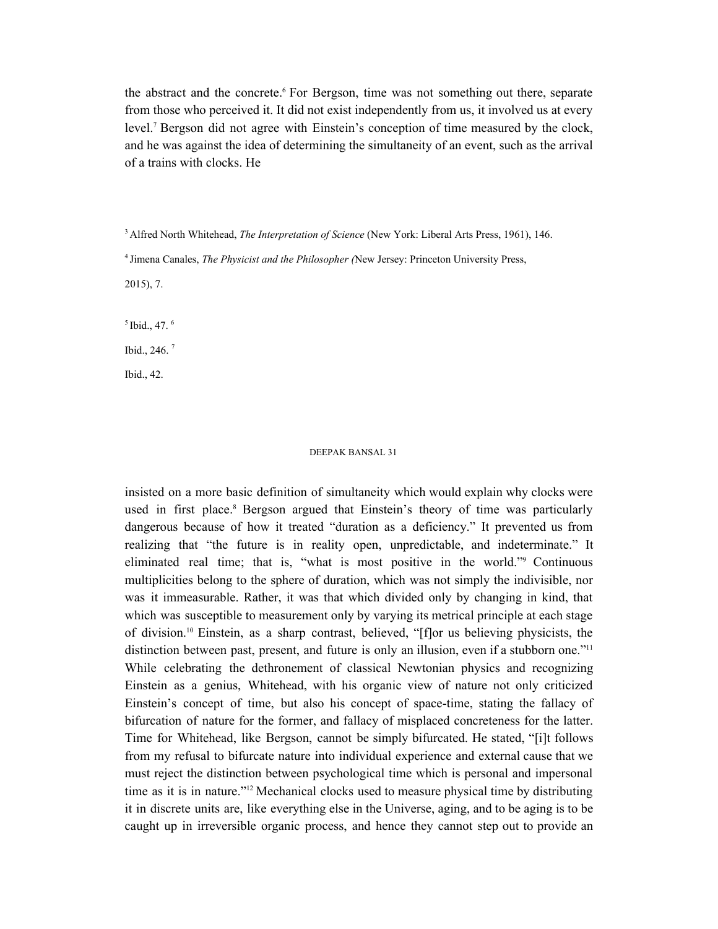the abstract and the concrete. <sup>6</sup> For Bergson, time was not something out there, separate from those who perceived it. It did not exist independently from us, it involved us at every level. <sup>7</sup> Bergson did not agree with Einstein's conception of time measured by the clock, and he was against the idea of determining the simultaneity of an event, such as the arrival of a trains with clocks. He

<sup>3</sup> Alfred North Whitehead, *The Interpretation of Science* (New York: Liberal Arts Press, 1961), 146.

4 Jimena Canales, *The Physicist and the Philosopher (*New Jersey: Princeton University Press,

2015), 7.

 $<sup>5</sup>$  Ibid., 47.  $<sup>6</sup>$ </sup></sup>

Ibid., 246. 7

Ibid., 42.

### DEEPAK BANSAL 31

insisted on a more basic definition of simultaneity which would explain why clocks were used in first place. <sup>8</sup> Bergson argued that Einstein's theory of time was particularly dangerous because of how it treated "duration as a deficiency." It prevented us from realizing that "the future is in reality open, unpredictable, and indeterminate." It eliminated real time; that is, "what is most positive in the world." Continuous multiplicities belong to the sphere of duration, which was not simply the indivisible, nor was it immeasurable. Rather, it was that which divided only by changing in kind, that which was susceptible to measurement only by varying its metrical principle at each stage of division. <sup>10</sup> Einstein, as a sharp contrast, believed, "[f]or us believing physicists, the distinction between past, present, and future is only an illusion, even if a stubborn one."<sup>11</sup> While celebrating the dethronement of classical Newtonian physics and recognizing Einstein as a genius, Whitehead, with his organic view of nature not only criticized Einstein's concept of time, but also his concept of space-time, stating the fallacy of bifurcation of nature for the former, and fallacy of misplaced concreteness for the latter. Time for Whitehead, like Bergson, cannot be simply bifurcated. He stated, "[i]t follows from my refusal to bifurcate nature into individual experience and external cause that we must reject the distinction between psychological time which is personal and impersonal time as it is in nature." <sup>12</sup> Mechanical clocks used to measure physical time by distributing it in discrete units are, like everything else in the Universe, aging, and to be aging is to be caught up in irreversible organic process, and hence they cannot step out to provide an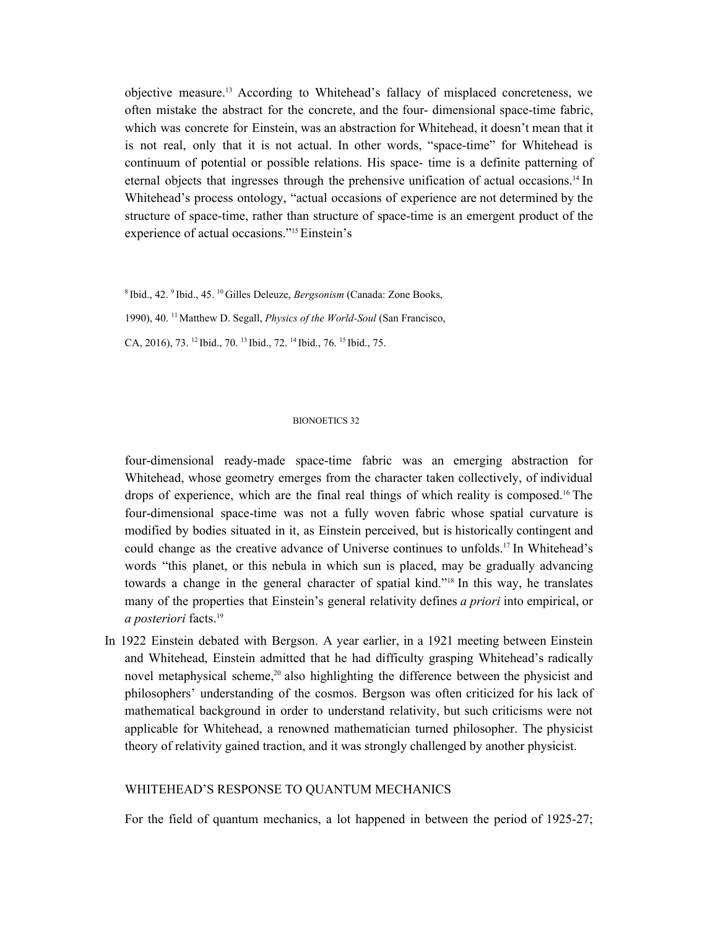objective measure. <sup>13</sup> According to Whitehead's fallacy of misplaced concreteness, we often mistake the abstract for the concrete, and the four- dimensional space-time fabric, which was concrete for Einstein, was an abstraction for Whitehead, it doesn't mean that it is not real, only that it is not actual. In other words, "space-time" for Whitehead is continuum of potential or possible relations. His space- time is a definite patterning of eternal objects that ingresses through the prehensive unification of actual occasions. <sup>14</sup> In Whitehead's process ontology, "actual occasions of experience are not determined by the structure of space-time, rather than structure of space-time is an emergent product of the experience of actual occasions." <sup>15</sup>Einstein's

8 Ibid., 42. 9 Ibid., 45. <sup>10</sup> Gilles Deleuze, *Bergsonism* (Canada: Zone Books,

1990), 40. <sup>11</sup> Matthew D. Segall, *Physics of the World-Soul* (San Francisco,

CA, 2016), 73. <sup>12</sup> Ibid., 70. <sup>13</sup> Ibid., 72. <sup>14</sup> Ibid., 76. <sup>15</sup> Ibid., 75.

### BIONOETICS 32

four-dimensional ready-made space-time fabric was an emerging abstraction for Whitehead, whose geometry emerges from the character taken collectively, of individual drops of experience, which are the final real things of which reality is composed. <sup>16</sup> The four-dimensional space-time was not a fully woven fabric whose spatial curvature is modified by bodies situated in it, as Einstein perceived, but is historically contingent and could change as the creative advance of Universe continues to unfolds. <sup>17</sup> In Whitehead's words "this planet, or this nebula in which sun is placed, may be gradually advancing towards a change in the general character of spatial kind." 18 In this way, he translates many of the properties that Einstein's general relativity defines *a priori* into empirical, or *a posteriori* facts. 19

In 1922 Einstein debated with Bergson. A year earlier, in a 1921 meeting between Einstein and Whitehead, Einstein admitted that he had difficulty grasping Whitehead's radically novel metaphysical scheme, <sup>20</sup> also highlighting the difference between the physicist and philosophers' understanding of the cosmos. Bergson was often criticized for his lack of mathematical background in order to understand relativity, but such criticisms were not applicable for Whitehead, a renowned mathematician turned philosopher. The physicist theory of relativity gained traction, and it was strongly challenged by another physicist.

# WHITEHEAD'S RESPONSE TO QUANTUM MECHANICS

For the field of quantum mechanics, a lot happened in between the period of 1925-27;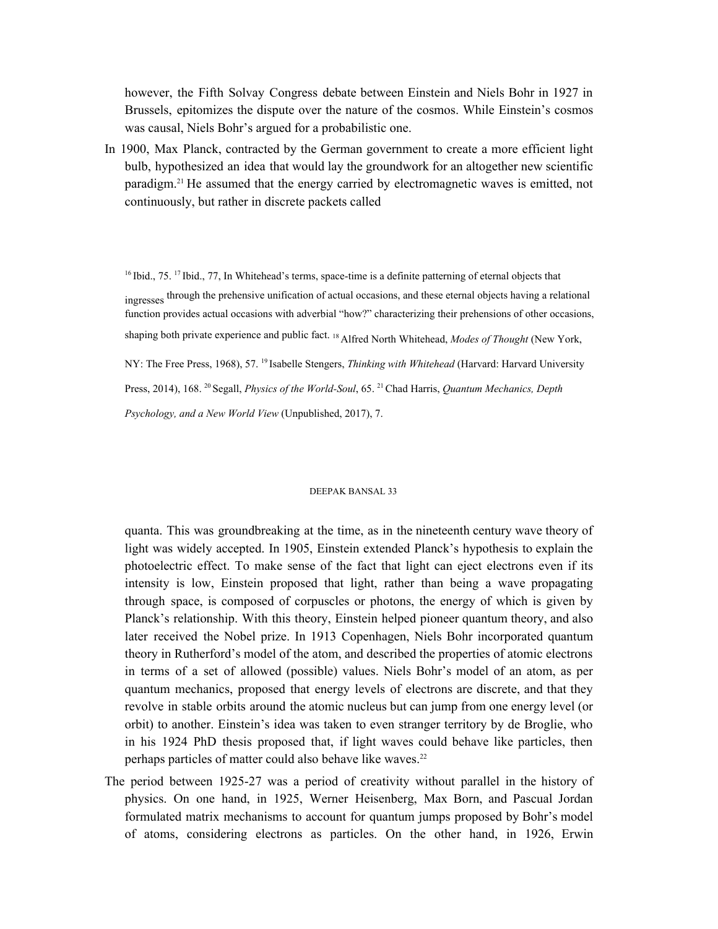however, the Fifth Solvay Congress debate between Einstein and Niels Bohr in 1927 in Brussels, epitomizes the dispute over the nature of the cosmos. While Einstein's cosmos was causal, Niels Bohr's argued for a probabilistic one.

In 1900, Max Planck, contracted by the German government to create a more efficient light bulb, hypothesized an idea that would lay the groundwork for an altogether new scientific paradigm. <sup>21</sup> He assumed that the energy carried by electromagnetic waves is emitted, not continuously, but rather in discrete packets called

<sup>16</sup> Ibid., 75.<sup>17</sup> Ibid., 77, In Whitehead's terms, space-time is a definite patterning of eternal objects that ingresses through the prehensive unification of actual occasions, and these eternal objects having a relational function provides actual occasions with adverbial "how?" characterizing their prehensions of other occasions, shaping both private experience and public fact. <sup>18</sup> Alfred North Whitehead, *Modes of Thought* (New York, NY: The Free Press, 1968), 57.<sup>19</sup> Isabelle Stengers, *Thinking with Whitehead* (Harvard: Harvard University Press, 2014), 168. <sup>20</sup> Segall, *Physics of the World-Soul*, 65. <sup>21</sup>Chad Harris, *Quantum Mechanics, Depth Psychology, and a New World View* (Unpublished, 2017), 7.

#### DEEPAK BANSAL 33

quanta. This was groundbreaking at the time, as in the nineteenth century wave theory of light was widely accepted. In 1905, Einstein extended Planck's hypothesis to explain the photoelectric effect. To make sense of the fact that light can eject electrons even if its intensity is low, Einstein proposed that light, rather than being a wave propagating through space, is composed of corpuscles or photons, the energy of which is given by Planck's relationship. With this theory, Einstein helped pioneer quantum theory, and also later received the Nobel prize. In 1913 Copenhagen, Niels Bohr incorporated quantum theory in Rutherford's model of the atom, and described the properties of atomic electrons in terms of a set of allowed (possible) values. Niels Bohr's model of an atom, as per quantum mechanics, proposed that energy levels of electrons are discrete, and that they revolve in stable orbits around the atomic nucleus but can jump from one energy level (or orbit) to another. Einstein's idea was taken to even stranger territory by de Broglie, who in his 1924 PhD thesis proposed that, if light waves could behave like particles, then perhaps particles of matter could also behave like waves. 22

The period between 1925-27 was a period of creativity without parallel in the history of physics. On one hand, in 1925, Werner Heisenberg, Max Born, and Pascual Jordan formulated matrix mechanisms to account for quantum jumps proposed by Bohr's model of atoms, considering electrons as particles. On the other hand, in 1926, Erwin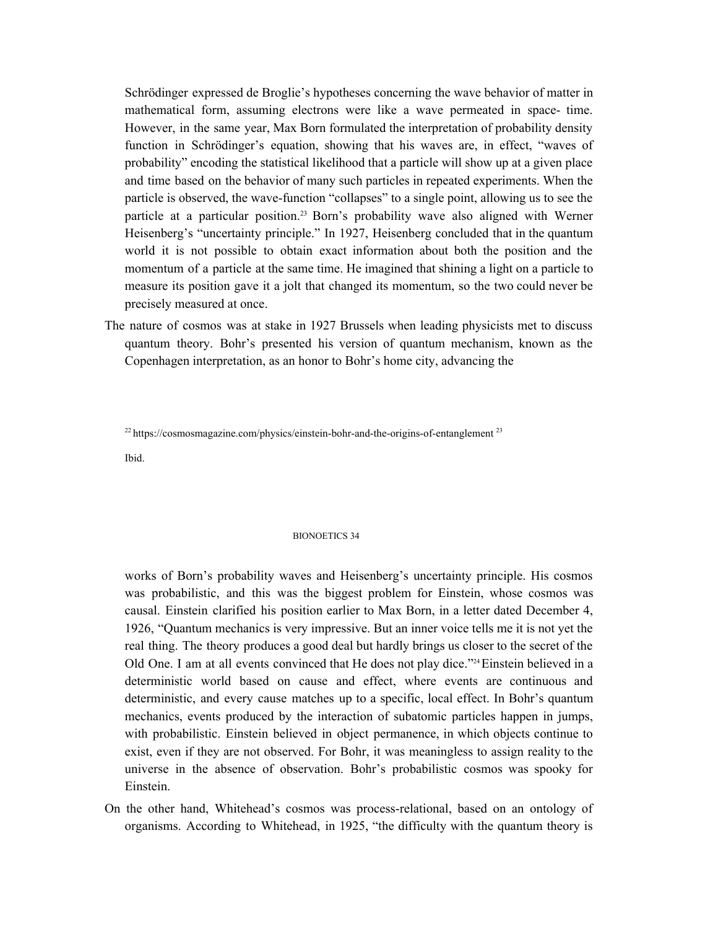Schrödinger expressed de Broglie's hypotheses concerning the wave behavior of matter in mathematical form, assuming electrons were like a wave permeated in space- time. However, in the same year, Max Born formulated the interpretation of probability density function in Schrödinger's equation, showing that his waves are, in effect, "waves of probability" encoding the statistical likelihood that a particle will show up at a given place and time based on the behavior of many such particles in repeated experiments. When the particle is observed, the wave-function "collapses" to a single point, allowing us to see the particle at a particular position. <sup>23</sup> Born's probability wave also aligned with Werner Heisenberg's "uncertainty principle." In 1927, Heisenberg concluded that in the quantum world it is not possible to obtain exact information about both the position and the momentum of a particle at the same time. He imagined that shining a light on a particle to measure its position gave it a jolt that changed its momentum, so the two could never be precisely measured at once.

The nature of cosmos was at stake in 1927 Brussels when leading physicists met to discuss quantum theory. Bohr's presented his version of quantum mechanism, known as the Copenhagen interpretation, as an honor to Bohr's home city, advancing the

 $^{22}$  https://cosmosmagazine.com/physics/einstein-bohr-and-the-origins-of-entanglement  $^{23}$ 

Ibid.

### BIONOETICS 34

works of Born's probability waves and Heisenberg's uncertainty principle. His cosmos was probabilistic, and this was the biggest problem for Einstein, whose cosmos was causal. Einstein clarified his position earlier to Max Born, in a letter dated December 4, 1926, "Quantum mechanics is very impressive. But an inner voice tells me it is not yet the real thing. The theory produces a good deal but hardly brings us closer to the secret of the Old One. I am at all events convinced that He does not play dice."<sup>24</sup> Einstein believed in a deterministic world based on cause and effect, where events are continuous and deterministic, and every cause matches up to a specific, local effect. In Bohr's quantum mechanics, events produced by the interaction of subatomic particles happen in jumps, with probabilistic. Einstein believed in object permanence, in which objects continue to exist, even if they are not observed. For Bohr, it was meaningless to assign reality to the universe in the absence of observation. Bohr's probabilistic cosmos was spooky for Einstein.

On the other hand, Whitehead's cosmos was process-relational, based on an ontology of organisms. According to Whitehead, in 1925, "the difficulty with the quantum theory is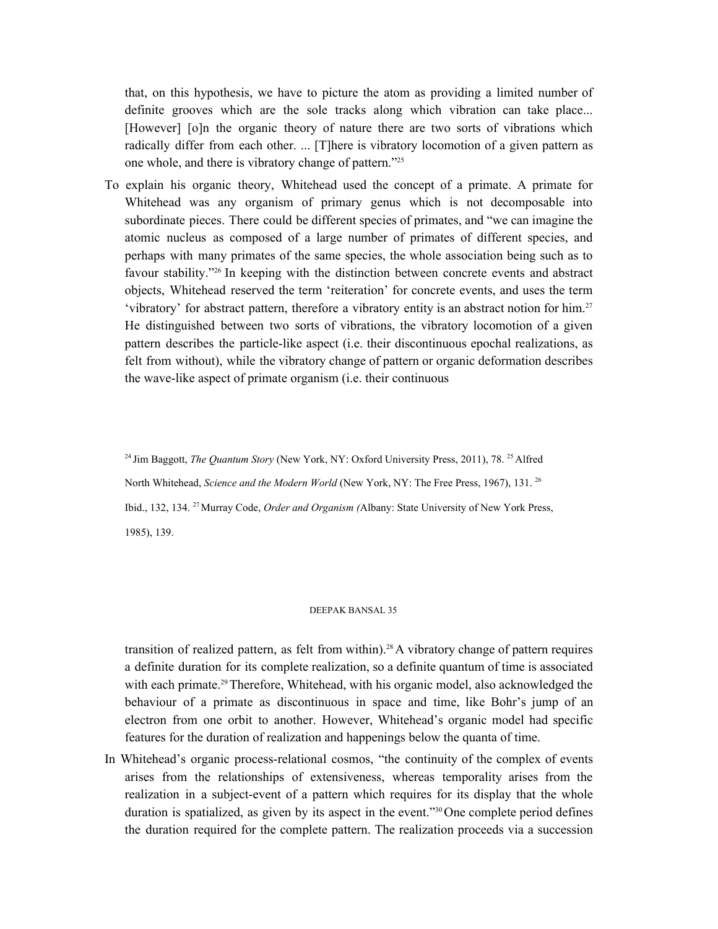that, on this hypothesis, we have to picture the atom as providing a limited number of definite grooves which are the sole tracks along which vibration can take place... [However] [o]n the organic theory of nature there are two sorts of vibrations which radically differ from each other. ... [T]here is vibratory locomotion of a given pattern as one whole, and there is vibratory change of pattern." 25

To explain his organic theory, Whitehead used the concept of a primate. A primate for Whitehead was any organism of primary genus which is not decomposable into subordinate pieces. There could be different species of primates, and "we can imagine the atomic nucleus as composed of a large number of primates of different species, and perhaps with many primates of the same species, the whole association being such as to favour stability."<sup>26</sup> In keeping with the distinction between concrete events and abstract objects, Whitehead reserved the term 'reiteration' for concrete events, and uses the term 'vibratory' for abstract pattern, therefore a vibratory entity is an abstract notion for him. 27 He distinguished between two sorts of vibrations, the vibratory locomotion of a given pattern describes the particle-like aspect (i.e. their discontinuous epochal realizations, as felt from without), while the vibratory change of pattern or organic deformation describes the wave-like aspect of primate organism (i.e. their continuous

<sup>24</sup> Jim Baggott, *The Quantum Story* (New York, NY: Oxford University Press, 2011), 78. <sup>25</sup> Alfred

North Whitehead, *Science and the Modern World* (New York, NY: The Free Press, 1967), 131. 26

Ibid., 132, 134. <sup>27</sup> Murray Code, *Order and Organism (*Albany: State University of New York Press, 1985), 139.

### DEEPAK BANSAL 35

transition of realized pattern, as felt from within). <sup>28</sup>A vibratory change of pattern requires a definite duration for its complete realization, so a definite quantum of time is associated with each primate.<sup>29</sup> Therefore, Whitehead, with his organic model, also acknowledged the behaviour of a primate as discontinuous in space and time, like Bohr's jump of an electron from one orbit to another. However, Whitehead's organic model had specific features for the duration of realization and happenings below the quanta of time.

In Whitehead's organic process-relational cosmos, "the continuity of the complex of events arises from the relationships of extensiveness, whereas temporality arises from the realization in a subject-event of a pattern which requires for its display that the whole duration is spatialized, as given by its aspect in the event."<sup>30</sup> One complete period defines the duration required for the complete pattern. The realization proceeds via a succession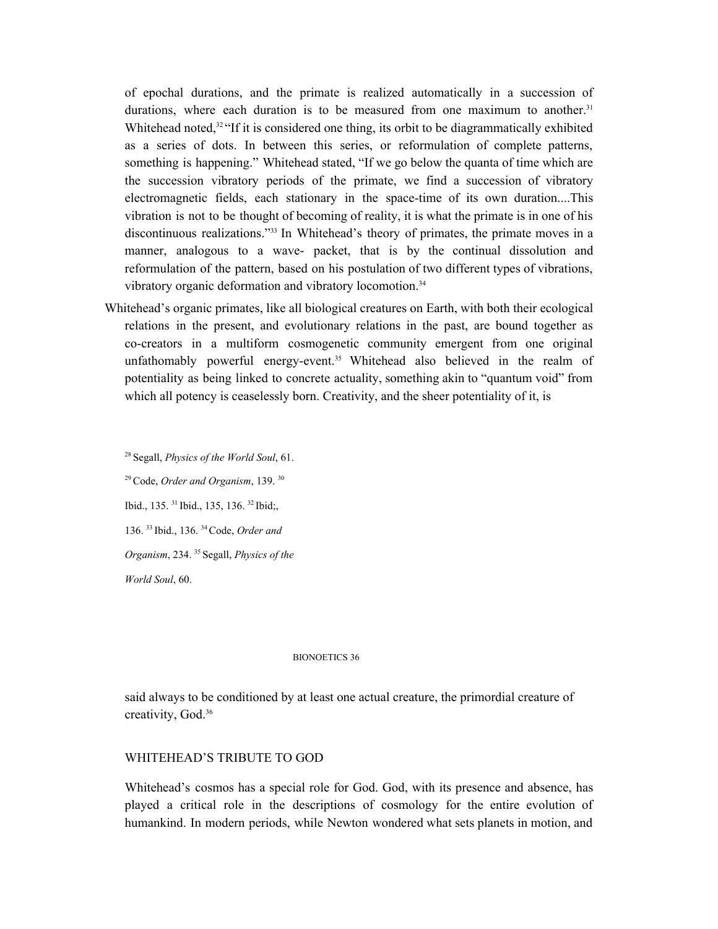of epochal durations, and the primate is realized automatically in a succession of durations, where each duration is to be measured from one maximum to another.<sup>31</sup> Whitehead noted,<sup>32</sup> "If it is considered one thing, its orbit to be diagrammatically exhibited as a series of dots. In between this series, or reformulation of complete patterns, something is happening." Whitehead stated, "If we go below the quanta of time which are the succession vibratory periods of the primate, we find a succession of vibratory electromagnetic fields, each stationary in the space-time of its own duration....This vibration is not to be thought of becoming of reality, it is what the primate is in one of his discontinuous realizations."<sup>33</sup> In Whitehead's theory of primates, the primate moves in a manner, analogous to a wave- packet, that is by the continual dissolution and reformulation of the pattern, based on his postulation of two different types of vibrations, vibratory organic deformation and vibratory locomotion. 34

Whitehead's organic primates, like all biological creatures on Earth, with both their ecological relations in the present, and evolutionary relations in the past, are bound together as co-creators in a multiform cosmogenetic community emergent from one original unfathomably powerful energy-event. <sup>35</sup> Whitehead also believed in the realm of potentiality as being linked to concrete actuality, something akin to "quantum void" from which all potency is ceaselessly born. Creativity, and the sheer potentiality of it, is

<sup>28</sup> Segall, *Physics of the World Soul*, 61. <sup>29</sup>Code, *Order and Organism*, 139. 30 Ibid., 135.<sup>31</sup> Ibid., 135, 136.<sup>32</sup> Ibid;, 136. 33 Ibid., 136. <sup>34</sup>Code, *Order and Organism*, 234. <sup>35</sup> Segall, *Physics of the World Soul*, 60.

### BIONOETICS 36

said always to be conditioned by at least one actual creature, the primordial creature of creativity, God. 36

# WHITEHEAD'S TRIBUTE TO GOD

Whitehead's cosmos has a special role for God. God, with its presence and absence, has played a critical role in the descriptions of cosmology for the entire evolution of humankind. In modern periods, while Newton wondered what sets planets in motion, and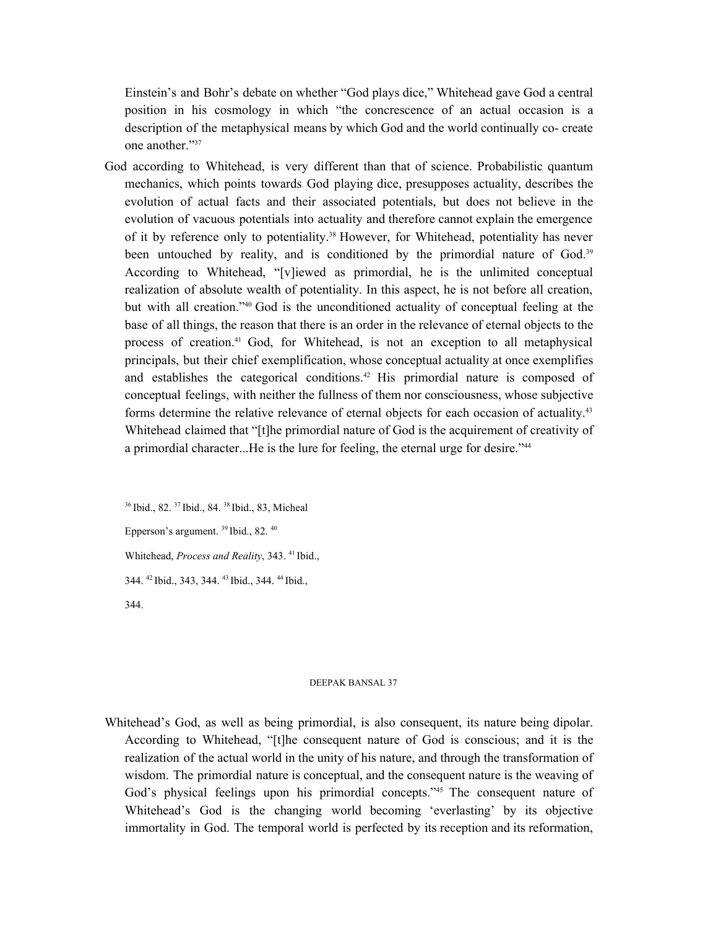Einstein's and Bohr's debate on whether "God plays dice," Whitehead gave God a central position in his cosmology in which "the concrescence of an actual occasion is a description of the metaphysical means by which God and the world continually co- create one another." 37

God according to Whitehead, is very different than that of science. Probabilistic quantum mechanics, which points towards God playing dice, presupposes actuality, describes the evolution of actual facts and their associated potentials, but does not believe in the evolution of vacuous potentials into actuality and therefore cannot explain the emergence of it by reference only to potentiality. <sup>38</sup> However, for Whitehead, potentiality has never been untouched by reality, and is conditioned by the primordial nature of God.<sup>39</sup> According to Whitehead, "[v]iewed as primordial, he is the unlimited conceptual realization of absolute wealth of potentiality. In this aspect, he is not before all creation, but with all creation." <sup>40</sup> God is the unconditioned actuality of conceptual feeling at the base of all things, the reason that there is an order in the relevance of eternal objects to the process of creation. <sup>41</sup> God, for Whitehead, is not an exception to all metaphysical principals, but their chief exemplification, whose conceptual actuality at once exemplifies and establishes the categorical conditions. <sup>42</sup> His primordial nature is composed of conceptual feelings, with neither the fullness of them nor consciousness, whose subjective forms determine the relative relevance of eternal objects for each occasion of actuality. 43 Whitehead claimed that "[t]he primordial nature of God is the acquirement of creativity of a primordial character...He is the lure for feeling, the eternal urge for desire." 44

<sup>36</sup> Ibid., 82. <sup>37</sup> Ibid., 84. <sup>38</sup> Ibid., 83, Micheal Epperson's argument.  $39$  Ibid., 82.  $40$ Whitehead, *Process and Reality*, 343. 41 Ibid., 344.<sup>42</sup> Ibid., 343, 344.<sup>43</sup> Ibid., 344.<sup>44</sup> Ibid., 344.

#### DEEPAK BANSAL 37

Whitehead's God, as well as being primordial, is also consequent, its nature being dipolar. According to Whitehead, "[t]he consequent nature of God is conscious; and it is the realization of the actual world in the unity of his nature, and through the transformation of wisdom. The primordial nature is conceptual, and the consequent nature is the weaving of God's physical feelings upon his primordial concepts."<sup>45</sup> The consequent nature of Whitehead's God is the changing world becoming 'everlasting' by its objective immortality in God. The temporal world is perfected by its reception and its reformation,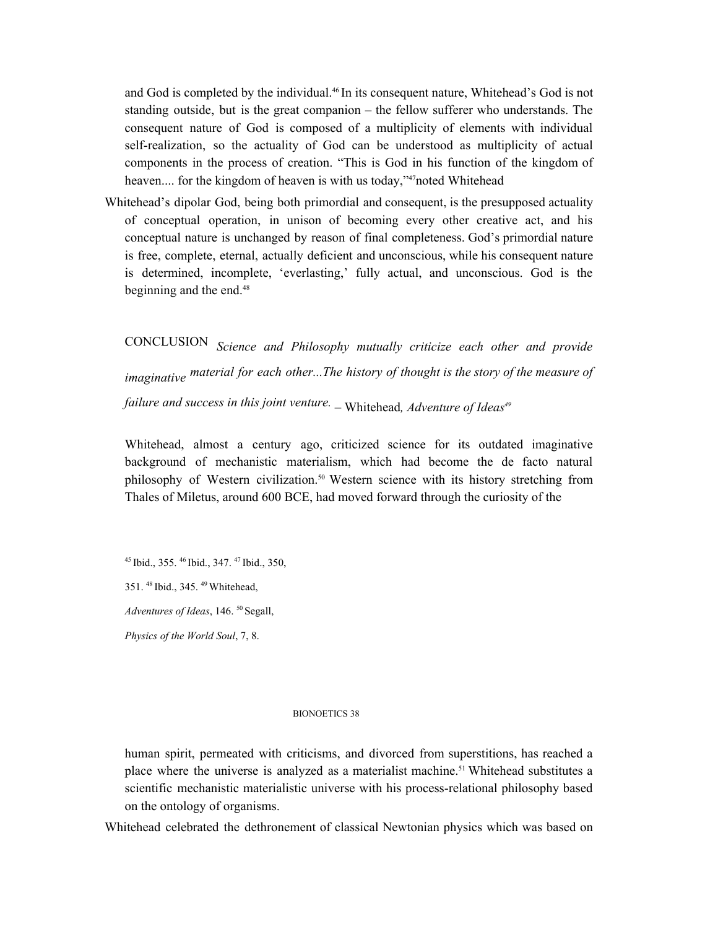and God is completed by the individual. <sup>46</sup> In its consequent nature, Whitehead's God is not standing outside, but is the great companion – the fellow sufferer who understands. The consequent nature of God is composed of a multiplicity of elements with individual self-realization, so the actuality of God can be understood as multiplicity of actual components in the process of creation. "This is God in his function of the kingdom of heaven.... for the kingdom of heaven is with us today,"<sup>47</sup>noted Whitehead

Whitehead's dipolar God, being both primordial and consequent, is the presupposed actuality of conceptual operation, in unison of becoming every other creative act, and his conceptual nature is unchanged by reason of final completeness. God's primordial nature is free, complete, eternal, actually deficient and unconscious, while his consequent nature is determined, incomplete, 'everlasting,' fully actual, and unconscious. God is the beginning and the end. 48

CONCLUSION *Science and Philosophy mutually criticize each other and provide imaginative material for each other...The history of thought is the story of the measure of failure and success in this joint venture. –* Whitehead*, Adventure of Ideas 49*

Whitehead, almost a century ago, criticized science for its outdated imaginative background of mechanistic materialism, which had become the de facto natural philosophy of Western civilization. <sup>50</sup> Western science with its history stretching from Thales of Miletus, around 600 BCE, had moved forward through the curiosity of the

<sup>45</sup> Ibid., 355. <sup>46</sup> Ibid., 347. <sup>47</sup> Ibid., 350,

351. 48 Ibid., 345. <sup>49</sup>Whitehead,

*Adventures of Ideas*, 146. <sup>50</sup> Segall,

*Physics of the World Soul*, 7, 8.

### BIONOETICS 38

human spirit, permeated with criticisms, and divorced from superstitions, has reached a place where the universe is analyzed as a materialist machine. <sup>51</sup> Whitehead substitutes a scientific mechanistic materialistic universe with his process-relational philosophy based on the ontology of organisms.

Whitehead celebrated the dethronement of classical Newtonian physics which was based on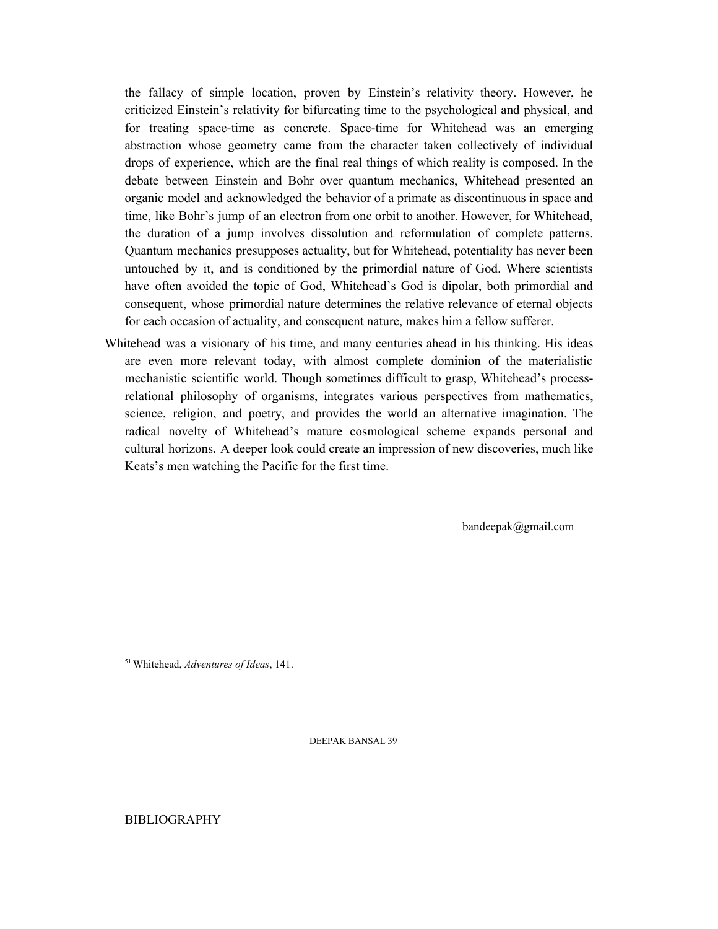the fallacy of simple location, proven by Einstein's relativity theory. However, he criticized Einstein's relativity for bifurcating time to the psychological and physical, and for treating space-time as concrete. Space-time for Whitehead was an emerging abstraction whose geometry came from the character taken collectively of individual drops of experience, which are the final real things of which reality is composed. In the debate between Einstein and Bohr over quantum mechanics, Whitehead presented an organic model and acknowledged the behavior of a primate as discontinuous in space and time, like Bohr's jump of an electron from one orbit to another. However, for Whitehead, the duration of a jump involves dissolution and reformulation of complete patterns. Quantum mechanics presupposes actuality, but for Whitehead, potentiality has never been untouched by it, and is conditioned by the primordial nature of God. Where scientists have often avoided the topic of God, Whitehead's God is dipolar, both primordial and consequent, whose primordial nature determines the relative relevance of eternal objects for each occasion of actuality, and consequent nature, makes him a fellow sufferer.

Whitehead was a visionary of his time, and many centuries ahead in his thinking. His ideas are even more relevant today, with almost complete dominion of the materialistic mechanistic scientific world. Though sometimes difficult to grasp, Whitehead's processrelational philosophy of organisms, integrates various perspectives from mathematics, science, religion, and poetry, and provides the world an alternative imagination. The radical novelty of Whitehead's mature cosmological scheme expands personal and cultural horizons. A deeper look could create an impression of new discoveries, much like Keats's men watching the Pacific for the first time.

bandeepak@gmail.com

<sup>51</sup>Whitehead, *Adventures of Ideas*, 141.

DEEPAK BANSAL 39

BIBLIOGRAPHY